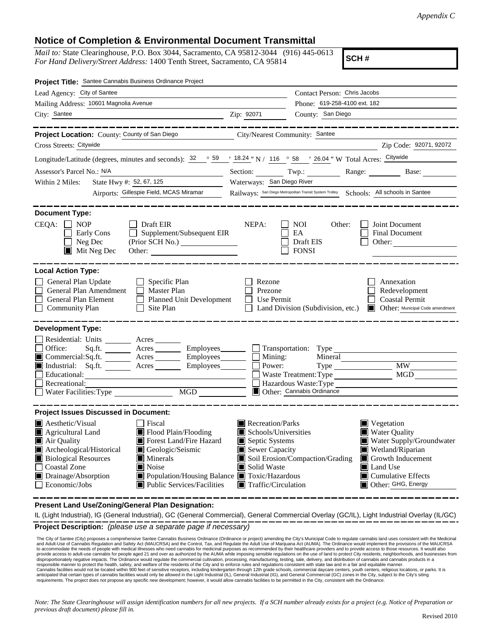## **Notice of Completion & Environmental Document Transmittal**

*Mail to:* State Clearinghouse, P.O. Box 3044, Sacramento, CA 95812-3044 (916) 445-0613 *For Hand Delivery/Street Address:* 1400 Tenth Street, Sacramento, CA 95814

**SCH #**

| Project Title: Santee Cannabis Business Ordinance Project                                                                                                                                                                                                                                                                                                                                                       |                                                                                                                                   |                                                                                                  |                                                                                                                                                                                               |
|-----------------------------------------------------------------------------------------------------------------------------------------------------------------------------------------------------------------------------------------------------------------------------------------------------------------------------------------------------------------------------------------------------------------|-----------------------------------------------------------------------------------------------------------------------------------|--------------------------------------------------------------------------------------------------|-----------------------------------------------------------------------------------------------------------------------------------------------------------------------------------------------|
| Lead Agency: City of Santee                                                                                                                                                                                                                                                                                                                                                                                     |                                                                                                                                   | Contact Person: Chris Jacobs                                                                     |                                                                                                                                                                                               |
| Mailing Address: 10601 Magnolia Avenue                                                                                                                                                                                                                                                                                                                                                                          |                                                                                                                                   | Phone: 619-258-4100 ext. 182                                                                     |                                                                                                                                                                                               |
| City: Santee                                                                                                                                                                                                                                                                                                                                                                                                    | Zip: 92071                                                                                                                        | County: San Diego                                                                                |                                                                                                                                                                                               |
| Project Location: County: County of San Diego                                                                                                                                                                                                                                                                                                                                                                   | City/Nearest Community: Santee                                                                                                    |                                                                                                  |                                                                                                                                                                                               |
| Cross Streets: Citywide                                                                                                                                                                                                                                                                                                                                                                                         |                                                                                                                                   |                                                                                                  | Zip Code: 92071, 92072                                                                                                                                                                        |
| Longitude/Latitude (degrees, minutes and seconds): $\frac{32}{59}$ $\frac{59}{18.24}$ N / $\frac{116}{16}$ $\frac{58}{58}$ $\frac{7}{26.04}$ W Total Acres: Citywide                                                                                                                                                                                                                                            |                                                                                                                                   |                                                                                                  |                                                                                                                                                                                               |
| Assessor's Parcel No.: N/A                                                                                                                                                                                                                                                                                                                                                                                      |                                                                                                                                   |                                                                                                  | Section: Twp.: Range: Base:                                                                                                                                                                   |
| State Hwy #: 52, 67, 125<br>Within 2 Miles:<br><u> a componenta de la provincia de la provincia de la provincia de la provincia de la provincia de la provincia </u>                                                                                                                                                                                                                                            | Waterways: San Diego River                                                                                                        |                                                                                                  |                                                                                                                                                                                               |
| Airports: Gillespie Field, MCAS Miramar                                                                                                                                                                                                                                                                                                                                                                         |                                                                                                                                   |                                                                                                  | Railways: San Diego Metropolitan Transit System Trolley Schools: All schools in Santee                                                                                                        |
| <b>Document Type:</b><br>$CEQA: \Box NP$<br>$\Box$ Draft EIR<br>Supplement/Subsequent EIR<br>Early Cons<br>$\Box$ Neg Dec<br>Mit Neg Dec                                                                                                                                                                                                                                                                        | NEPA:                                                                                                                             | <b>NOI</b><br>Other:<br>EA<br>Draft EIS<br><b>FONSI</b>                                          | Joint Document<br><b>Final Document</b><br>Other:                                                                                                                                             |
| <b>Local Action Type:</b>                                                                                                                                                                                                                                                                                                                                                                                       |                                                                                                                                   |                                                                                                  |                                                                                                                                                                                               |
| General Plan Update<br>$\Box$ Specific Plan<br>General Plan Amendment<br>$\Box$ Master Plan<br>General Plan Element<br>Planned Unit Development<br><b>Community Plan</b><br>Site Plan                                                                                                                                                                                                                           | Rezone<br>Prezone<br>Use Permit                                                                                                   | Land Division (Subdivision, etc.)                                                                | Annexation<br>Redevelopment<br><b>Coastal Permit</b><br>Other: Municipal Code amendment                                                                                                       |
| <b>Development Type:</b><br>Residential: Units ________ Acres _______<br>Office:<br>Acres ________ Employees ________ Transportation: Type<br>Sq.fit.<br>■ Commercial:Sq.ft. _______ Acres ________ Employees _______ □ Mining:<br>Industrial: Sq.ft. _______ Acres _______ Employees_______ $\Box$<br>Educational:<br>Recreational:<br>MGD NGD<br>Water Facilities: Type                                       |                                                                                                                                   | Mineral<br>Power:<br>Waste Treatment: Type<br>Hazardous Waste: Type<br>Other: Cannabis Ordinance | <b>MW</b><br><b>MGD</b>                                                                                                                                                                       |
| <b>Project Issues Discussed in Document:</b>                                                                                                                                                                                                                                                                                                                                                                    |                                                                                                                                   |                                                                                                  |                                                                                                                                                                                               |
| $\blacksquare$ Aesthetic/Visual<br>Fiscal<br>Flood Plain/Flooding<br>$\blacksquare$ Agricultural Land<br>Air Quality<br>Forest Land/Fire Hazard<br>Archeological/Historical<br>Geologic/Seismic<br><b>Biological Resources</b><br>$\blacksquare$ Minerals<br><b>Coastal Zone</b><br>Noise<br>Drainage/Absorption<br>Population/Housing Balance Toxic/Hazardous<br>Economic/Jobs<br>■ Public Services/Facilities | Recreation/Parks<br>Schools/Universities<br>Septic Systems<br>Sewer Capacity<br>Solid Waste<br>$\blacksquare$ Traffic/Circulation | Soil Erosion/Compaction/Grading                                                                  | $\blacksquare$ Vegetation<br>Water Quality<br>Water Supply/Groundwater<br>Wetland/Riparian<br>$\Box$ Growth Inducement<br>Land Use<br>$\blacksquare$ Cumulative Effects<br>Other: GHG, Energy |

**Present Land Use/Zoning/General Plan Designation:**

**Project Description:** *(please use a separate page if necessary)* IL (Light Industrial), IG (General Industrial), GC (General Commercial), General Commercial Overlay (GC/IL), Light Industrial Overlay (IL/GC)

 The City of Santee (City) proposes a comprehensive Santee Cannabis Business Ordinance (Ordinance or project) amending the City's Municipal Code to regulate cannabis land uses consistent with the Medicinal and Adult-Use of Cannabis Regulation and Safety Act (MAUCRSA) and the Control, Tax, and Regulate the Adult Use of Marijuana Act (AUMA). The Ordinance would implement the provisions of the MAUCRSA<br>to accommodate the needs o provide access to adult-use cannabis for people aged 21 and over as authorized by the AUMA while imposing sensible regulations on the use of land to protect City residents, neighborhoods, and businesses from<br>disproportiona responsible manner to protect the health, safety, and welfare of the residents of the City and to enforce rules and regulations consistent with state law and in a fair and equitable manner. Cannabis facilities would not be located within 900 feet of sensitive receptors, including kindergarten through 12th grade schools, commercial daycare centers, youth centers, religious locations, or parks. It is<br>anticipate requirements. The project does not propose any specific new development; however, it would allow cannabis facilities to be permitted in the City, consistent with the Ordinance.

*Note: The State Clearinghouse will assign identification numbers for all new projects. If a SCH number already exists for a project (e.g. Notice of Preparation or previous draft document) please fill in.*